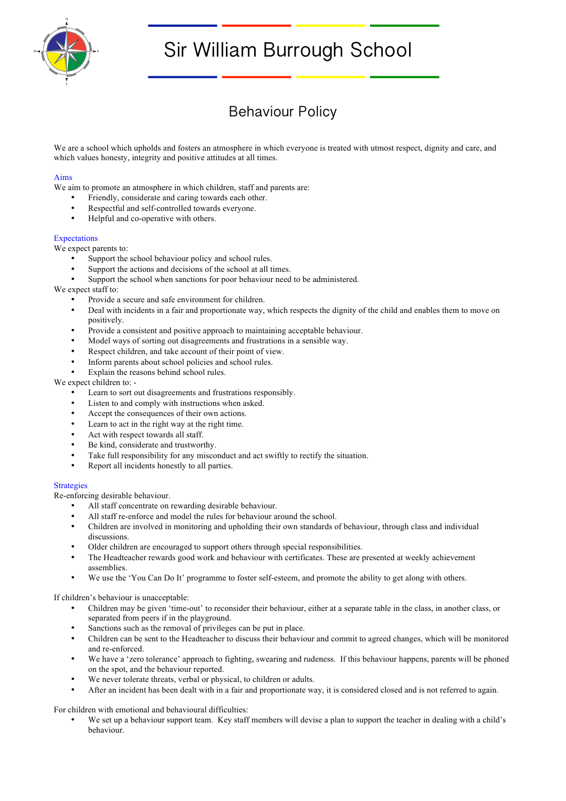

# Sir William Burrough School

# Behaviour Policy

We are a school which upholds and fosters an atmosphere in which everyone is treated with utmost respect, dignity and care, and which values honesty, integrity and positive attitudes at all times.

### Aims

We aim to promote an atmosphere in which children, staff and parents are:

- Friendly, considerate and caring towards each other.
- Respectful and self-controlled towards everyone.<br>• Helpful and an approximative with others
- Helpful and co-operative with others.

## Expectations

We expect parents to:

- Support the school behaviour policy and school rules.
- Support the actions and decisions of the school at all times.
- Support the school when sanctions for poor behaviour need to be administered.

We expect staff to:

- Provide a secure and safe environment for children.
- Deal with incidents in a fair and proportionate way, which respects the dignity of the child and enables them to move on positively.
- Provide a consistent and positive approach to maintaining acceptable behaviour.
- Model ways of sorting out disagreements and frustrations in a sensible way.
- Respect children, and take account of their point of view.
- Inform parents about school policies and school rules.
- Explain the reasons behind school rules.

#### We expect children to: -

- Learn to sort out disagreements and frustrations responsibly.
- Listen to and comply with instructions when asked.
- Accept the consequences of their own actions.
- Learn to act in the right way at the right time.
- Act with respect towards all staff.
- Be kind, considerate and trustworthy.
- Take full responsibility for any misconduct and act swiftly to rectify the situation.<br>• Report all incidents honestly to all parties
- Report all incidents honestly to all parties.

#### **Strategies**

Re-enforcing desirable behaviour.

- All staff concentrate on rewarding desirable behaviour.
- All staff re-enforce and model the rules for behaviour around the school.
- Children are involved in monitoring and upholding their own standards of behaviour, through class and individual discussions.
- Older children are encouraged to support others through special responsibilities.
- The Headteacher rewards good work and behaviour with certificates. These are presented at weekly achievement assemblies.
- We use the 'You Can Do It' programme to foster self-esteem, and promote the ability to get along with others.

If children's behaviour is unacceptable:

- Children may be given 'time-out' to reconsider their behaviour, either at a separate table in the class, in another class, or separated from peers if in the playground.
- Sanctions such as the removal of privileges can be put in place.
- Children can be sent to the Headteacher to discuss their behaviour and commit to agreed changes, which will be monitored and re-enforced.
- We have a 'zero tolerance' approach to fighting, swearing and rudeness. If this behaviour happens, parents will be phoned on the spot, and the behaviour reported.
- We never tolerate threats, verbal or physical, to children or adults.
- After an incident has been dealt with in a fair and proportionate way, it is considered closed and is not referred to again.

For children with emotional and behavioural difficulties:

• We set up a behaviour support team. Key staff members will devise a plan to support the teacher in dealing with a child's behaviour.